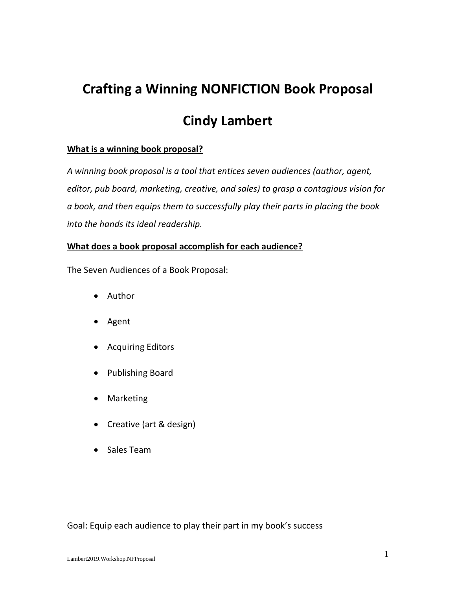## **Crafting a Winning NONFICTION Book Proposal**

## **Cindy Lambert**

## **What is a winning book proposal?**

*A winning book proposal is a tool that entices seven audiences (author, agent, editor, pub board, marketing, creative, and sales) to grasp a contagious vision for a book, and then equips them to successfully play their parts in placing the book into the hands its ideal readership.* 

## **What does a book proposal accomplish for each audience?**

The Seven Audiences of a Book Proposal:

- Author
- Agent
- Acquiring Editors
- Publishing Board
- Marketing
- Creative (art & design)
- Sales Team

Goal: Equip each audience to play their part in my book's success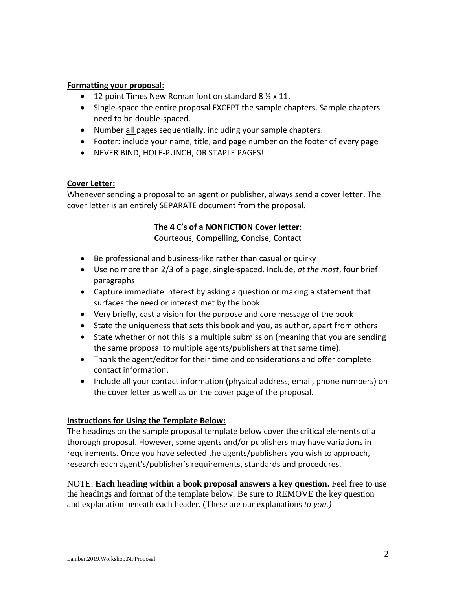#### **Formatting your proposal**:

- 12 point Times New Roman font on standard 8  $\frac{1}{2}$  x 11.
- Single-space the entire proposal EXCEPT the sample chapters. Sample chapters need to be double-spaced.
- Number all pages sequentially, including your sample chapters.
- Footer: include your name, title, and page number on the footer of every page
- NEVER BIND, HOLE-PUNCH, OR STAPLE PAGES!

#### **Cover Letter:**

Whenever sending a proposal to an agent or publisher, always send a cover letter. The cover letter is an entirely SEPARATE document from the proposal.

## **The 4 C's of a NONFICTION Cover letter:**

**C**ourteous, **C**ompelling, **C**oncise, **C**ontact

- Be professional and business-like rather than casual or quirky
- Use no more than 2/3 of a page, single-spaced. Include, *at the most*, four brief paragraphs
- Capture immediate interest by asking a question or making a statement that surfaces the need or interest met by the book.
- Very briefly, cast a vision for the purpose and core message of the book
- State the uniqueness that sets this book and you, as author, apart from others
- State whether or not this is a multiple submission (meaning that you are sending the same proposal to multiple agents/publishers at that same time).
- Thank the agent/editor for their time and considerations and offer complete contact information.
- Include all your contact information (physical address, email, phone numbers) on the cover letter as well as on the cover page of the proposal.

## **Instructions for Using the Template Below:**

The headings on the sample proposal template below cover the critical elements of a thorough proposal. However, some agents and/or publishers may have variations in requirements. Once you have selected the agents/publishers you wish to approach, research each agent's/publisher's requirements, standards and procedures.

NOTE: **Each heading within a book proposal answers a key question.** Feel free to use the headings and format of the template below. Be sure to REMOVE the key question and explanation beneath each header. (These are our explanations *to you.)*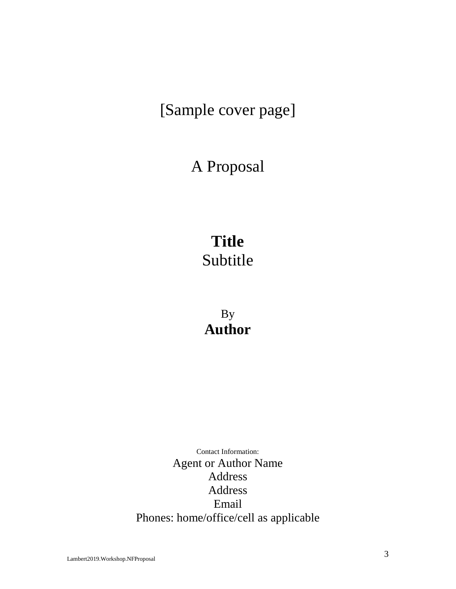## [Sample cover page]

## A Proposal

# **Title** Subtitle

By **Author**

Contact Information: Agent or Author Name Address Address Email Phones: home/office/cell as applicable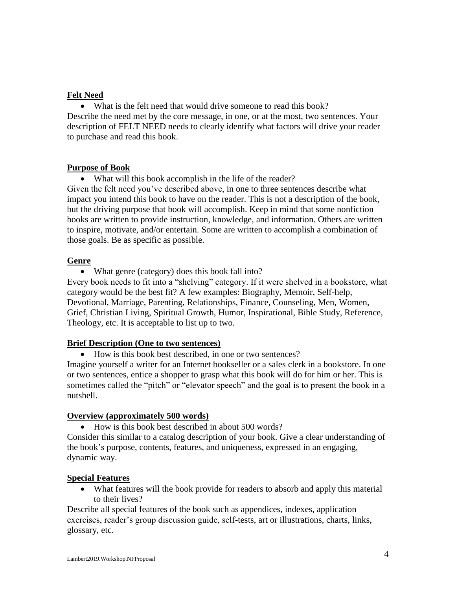### **Felt Need**

• What is the felt need that would drive someone to read this book? Describe the need met by the core message, in one, or at the most, two sentences. Your description of FELT NEED needs to clearly identify what factors will drive your reader to purchase and read this book.

#### **Purpose of Book**

• What will this book accomplish in the life of the reader? Given the felt need you've described above, in one to three sentences describe what impact you intend this book to have on the reader. This is not a description of the book, but the driving purpose that book will accomplish. Keep in mind that some nonfiction books are written to provide instruction, knowledge, and information. Others are written to inspire, motivate, and/or entertain. Some are written to accomplish a combination of those goals. Be as specific as possible.

#### **Genre**

• What genre (category) does this book fall into?

Every book needs to fit into a "shelving" category. If it were shelved in a bookstore, what category would be the best fit? A few examples: Biography, Memoir, Self-help, Devotional, Marriage, Parenting, Relationships, Finance, Counseling, Men, Women, Grief, Christian Living, Spiritual Growth, Humor, Inspirational, Bible Study, Reference, Theology, etc. It is acceptable to list up to two.

#### **Brief Description (One to two sentences)**

• How is this book best described, in one or two sentences?

Imagine yourself a writer for an Internet bookseller or a sales clerk in a bookstore. In one or two sentences, entice a shopper to grasp what this book will do for him or her. This is sometimes called the "pitch" or "elevator speech" and the goal is to present the book in a nutshell.

#### **Overview (approximately 500 words)**

• How is this book best described in about 500 words?

Consider this similar to a catalog description of your book. Give a clear understanding of the book's purpose, contents, features, and uniqueness, expressed in an engaging, dynamic way.

#### **Special Features**

• What features will the book provide for readers to absorb and apply this material to their lives?

Describe all special features of the book such as appendices, indexes, application exercises, reader's group discussion guide, self-tests, art or illustrations, charts, links, glossary, etc.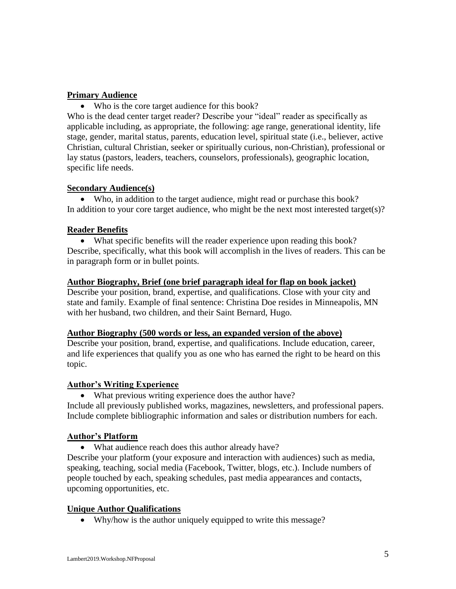#### **Primary Audience**

• Who is the core target audience for this book?

Who is the dead center target reader? Describe your "ideal" reader as specifically as applicable including, as appropriate, the following: age range, generational identity, life stage, gender, marital status, parents, education level, spiritual state (i.e., believer, active Christian, cultural Christian, seeker or spiritually curious, non-Christian), professional or lay status (pastors, leaders, teachers, counselors, professionals), geographic location, specific life needs.

#### **Secondary Audience(s)**

• Who, in addition to the target audience, might read or purchase this book? In addition to your core target audience, who might be the next most interested target(s)?

#### **Reader Benefits**

• What specific benefits will the reader experience upon reading this book? Describe, specifically, what this book will accomplish in the lives of readers. This can be in paragraph form or in bullet points.

#### **Author Biography, Brief (one brief paragraph ideal for flap on book jacket)**

Describe your position, brand, expertise, and qualifications. Close with your city and state and family. Example of final sentence: Christina Doe resides in Minneapolis, MN with her husband, two children, and their Saint Bernard, Hugo.

#### **Author Biography (500 words or less, an expanded version of the above)**

Describe your position, brand, expertise, and qualifications. Include education, career, and life experiences that qualify you as one who has earned the right to be heard on this topic.

#### **Author's Writing Experience**

• What previous writing experience does the author have? Include all previously published works, magazines, newsletters, and professional papers. Include complete bibliographic information and sales or distribution numbers for each.

## **Author's Platform**

• What audience reach does this author already have?

Describe your platform (your exposure and interaction with audiences) such as media, speaking, teaching, social media (Facebook, Twitter, blogs, etc.). Include numbers of people touched by each, speaking schedules, past media appearances and contacts, upcoming opportunities, etc.

## **Unique Author Qualifications**

• Why/how is the author uniquely equipped to write this message?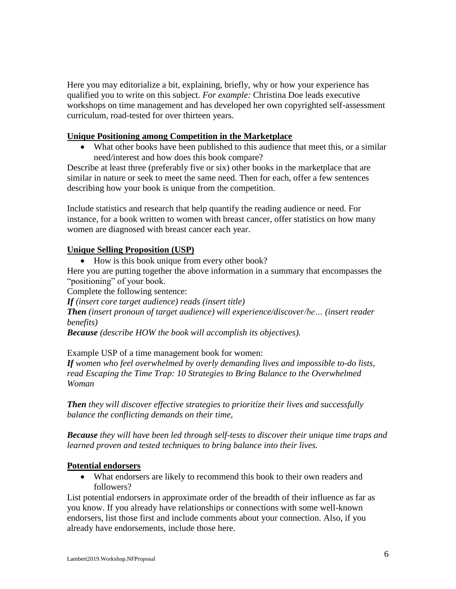Here you may editorialize a bit, explaining, briefly, why or how your experience has qualified you to write on this subject. *For example:* Christina Doe leads executive workshops on time management and has developed her own copyrighted self-assessment curriculum, road-tested for over thirteen years.

#### **Unique Positioning among Competition in the Marketplace**

• What other books have been published to this audience that meet this, or a similar need/interest and how does this book compare?

Describe at least three (preferably five or six) other books in the marketplace that are similar in nature or seek to meet the same need. Then for each, offer a few sentences describing how your book is unique from the competition.

Include statistics and research that help quantify the reading audience or need. For instance, for a book written to women with breast cancer, offer statistics on how many women are diagnosed with breast cancer each year.

#### **Unique Selling Proposition (USP)**

• How is this book unique from every other book?

Here you are putting together the above information in a summary that encompasses the "positioning" of your book.

Complete the following sentence:

*If (insert core target audience) reads (insert title)*

*Then (insert pronoun of target audience) will experience/discover/be… (insert reader benefits)*

*Because (describe HOW the book will accomplish its objectives).*

Example USP of a time management book for women:

*If women who feel overwhelmed by overly demanding lives and impossible to-do lists, read Escaping the Time Trap: 10 Strategies to Bring Balance to the Overwhelmed Woman*

*Then they will discover effective strategies to prioritize their lives and successfully balance the conflicting demands on their time,*

*Because they will have been led through self-tests to discover their unique time traps and learned proven and tested techniques to bring balance into their lives.*

#### **Potential endorsers**

• What endorsers are likely to recommend this book to their own readers and followers?

List potential endorsers in approximate order of the breadth of their influence as far as you know. If you already have relationships or connections with some well-known endorsers, list those first and include comments about your connection. Also, if you already have endorsements, include those here.